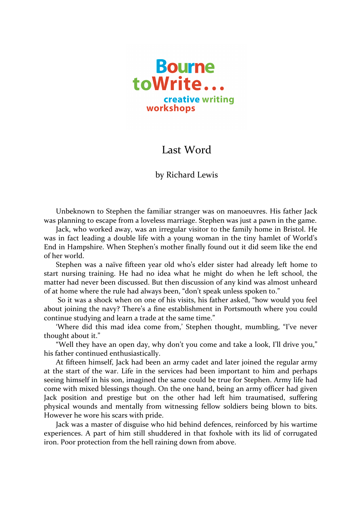

## Last Word

## by Richard Lewis

Unbeknown to Stephen the familiar stranger was on manoeuvres. His father Jack was planning to escape from a loveless marriage. Stephen was just a pawn in the game.

Jack, who worked away, was an irregular visitor to the family home in Bristol. He was in fact leading a double life with a young woman in the tiny hamlet of World's End in Hampshire. When Stephen's mother finally found out it did seem like the end of her world.

Stephen was a naïve fifteen year old who's elder sister had already left home to start nursing training. He had no idea what he might do when he left school, the matter had never been discussed. But then discussion of any kind was almost unheard of at home where the rule had always been, "don't speak unless spoken to."

So it was a shock when on one of his visits, his father asked, "how would you feel about joining the navy? There's a fine establishment in Portsmouth where you could continue studying and learn a trade at the same time."

'Where did this mad idea come from,' Stephen thought, mumbling, "I've never thought about it."

"Well they have an open day, why don't you come and take a look, I'll drive you," his father continued enthusiastically.

At fifteen himself, Jack had been an army cadet and later joined the regular army at the start of the war. Life in the services had been important to him and perhaps seeing himself in his son, imagined the same could be true for Stephen. Army life had come with mixed blessings though. On the one hand, being an army officer had given Jack position and prestige but on the other had left him traumatised, suffering physical wounds and mentally from witnessing fellow soldiers being blown to bits. However he wore his scars with pride.

Jack was a master of disguise who hid behind defences, reinforced by his wartime experiences. A part of him still shuddered in that foxhole with its lid of corrugated iron. Poor protection from the hell raining down from above.